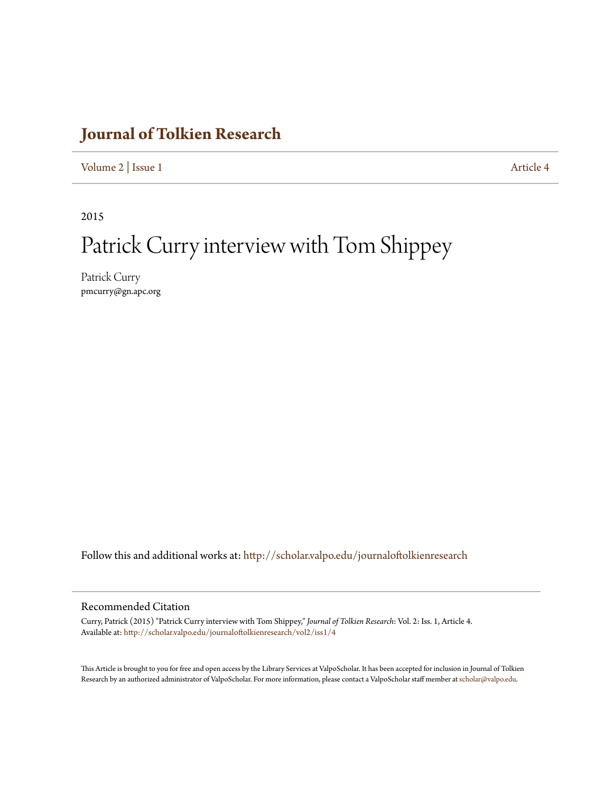# **[Journal of Tolkien Research](http://scholar.valpo.edu/journaloftolkienresearch?utm_source=scholar.valpo.edu%2Fjournaloftolkienresearch%2Fvol2%2Fiss1%2F4&utm_medium=PDF&utm_campaign=PDFCoverPages)**

[Volume 2](http://scholar.valpo.edu/journaloftolkienresearch/vol2?utm_source=scholar.valpo.edu%2Fjournaloftolkienresearch%2Fvol2%2Fiss1%2F4&utm_medium=PDF&utm_campaign=PDFCoverPages) | [Issue 1](http://scholar.valpo.edu/journaloftolkienresearch/vol2/iss1?utm_source=scholar.valpo.edu%2Fjournaloftolkienresearch%2Fvol2%2Fiss1%2F4&utm_medium=PDF&utm_campaign=PDFCoverPages) [Article 4](http://scholar.valpo.edu/journaloftolkienresearch/vol2/iss1/4?utm_source=scholar.valpo.edu%2Fjournaloftolkienresearch%2Fvol2%2Fiss1%2F4&utm_medium=PDF&utm_campaign=PDFCoverPages)

2015

# Patrick Curry interview with Tom Shippey

Patrick Curry pmcurry@gn.apc.org

Follow this and additional works at: [http://scholar.valpo.edu/journaloftolkienresearch](http://scholar.valpo.edu/journaloftolkienresearch?utm_source=scholar.valpo.edu%2Fjournaloftolkienresearch%2Fvol2%2Fiss1%2F4&utm_medium=PDF&utm_campaign=PDFCoverPages)

#### Recommended Citation

Curry, Patrick (2015) "Patrick Curry interview with Tom Shippey," *Journal of Tolkien Research*: Vol. 2: Iss. 1, Article 4. Available at: [http://scholar.valpo.edu/journaloftolkienresearch/vol2/iss1/4](http://scholar.valpo.edu/journaloftolkienresearch/vol2/iss1/4?utm_source=scholar.valpo.edu%2Fjournaloftolkienresearch%2Fvol2%2Fiss1%2F4&utm_medium=PDF&utm_campaign=PDFCoverPages)

This Article is brought to you for free and open access by the Library Services at ValpoScholar. It has been accepted for inclusion in Journal of Tolkien Research by an authorized administrator of ValpoScholar. For more information, please contact a ValpoScholar staff member at [scholar@valpo.edu.](mailto:scholar@valpo.edu)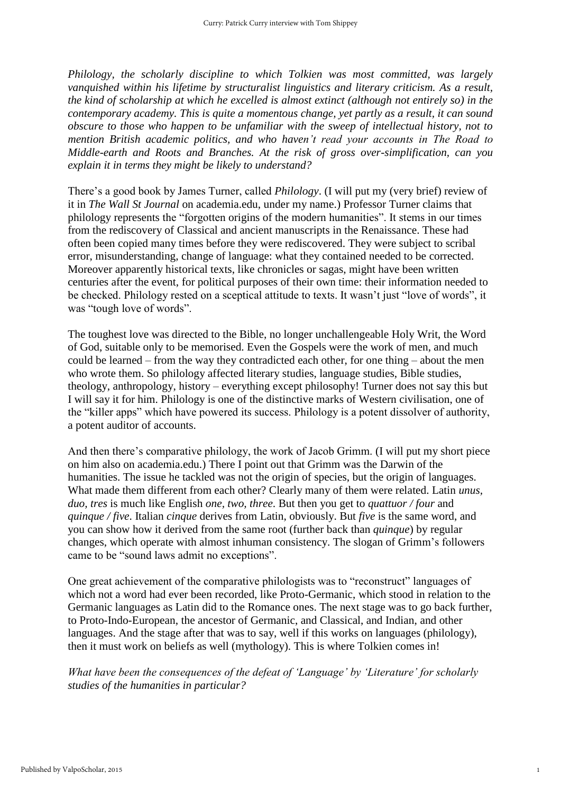*Philology, the scholarly discipline to which Tolkien was most committed, was largely vanquished within his lifetime by structuralist linguistics and literary criticism. As a result, the kind of scholarship at which he excelled is almost extinct (although not entirely so) in the contemporary academy. This is quite a momentous change, yet partly as a result, it can sound obscure to those who happen to be unfamiliar with the sweep of intellectual history, not to mention British academic politics, and who haven't read your accounts in The Road to Middle-earth and Roots and Branches. At the risk of gross over-simplification, can you explain it in terms they might be likely to understand?*

There's a good book by James Turner, called *Philology*. (I will put my (very brief) review of it in *The Wall St Journal* on academia.edu, under my name.) Professor Turner claims that philology represents the "forgotten origins of the modern humanities". It stems in our times from the rediscovery of Classical and ancient manuscripts in the Renaissance. These had often been copied many times before they were rediscovered. They were subject to scribal error, misunderstanding, change of language: what they contained needed to be corrected. Moreover apparently historical texts, like chronicles or sagas, might have been written centuries after the event, for political purposes of their own time: their information needed to be checked. Philology rested on a sceptical attitude to texts. It wasn't just "love of words", it was "tough love of words".

The toughest love was directed to the Bible, no longer unchallengeable Holy Writ, the Word of God, suitable only to be memorised. Even the Gospels were the work of men, and much could be learned – from the way they contradicted each other, for one thing – about the men who wrote them. So philology affected literary studies, language studies, Bible studies, theology, anthropology, history – everything except philosophy! Turner does not say this but I will say it for him. Philology is one of the distinctive marks of Western civilisation, one of the "killer apps" which have powered its success. Philology is a potent dissolver of authority, a potent auditor of accounts.

And then there's comparative philology, the work of Jacob Grimm. (I will put my short piece on him also on academia.edu.) There I point out that Grimm was the Darwin of the humanities. The issue he tackled was not the origin of species, but the origin of languages. What made them different from each other? Clearly many of them were related. Latin *unus, duo, tres* is much like English *one, two, three*. But then you get to *quattuor / four* and *quinque / five*. Italian *cinque* derives from Latin, obviously. But *five* is the same word, and you can show how it derived from the same root (further back than *quinque*) by regular changes, which operate with almost inhuman consistency. The slogan of Grimm's followers came to be "sound laws admit no exceptions".

One great achievement of the comparative philologists was to "reconstruct" languages of which not a word had ever been recorded, like Proto-Germanic, which stood in relation to the Germanic languages as Latin did to the Romance ones. The next stage was to go back further, to Proto-Indo-European, the ancestor of Germanic, and Classical, and Indian, and other languages. And the stage after that was to say, well if this works on languages (philology), then it must work on beliefs as well (mythology). This is where Tolkien comes in!

*What have been the consequences of the defeat of 'Language' by 'Literature' for scholarly studies of the humanities in particular?*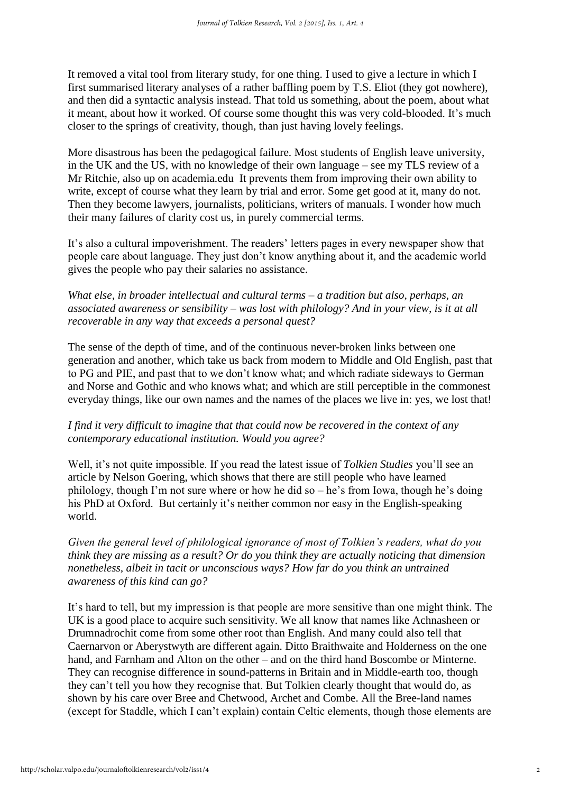It removed a vital tool from literary study, for one thing. I used to give a lecture in which I first summarised literary analyses of a rather baffling poem by T.S. Eliot (they got nowhere), and then did a syntactic analysis instead. That told us something, about the poem, about what it meant, about how it worked. Of course some thought this was very cold-blooded. It's much closer to the springs of creativity, though, than just having lovely feelings.

More disastrous has been the pedagogical failure. Most students of English leave university, in the UK and the US, with no knowledge of their own language – see my TLS review of a Mr Ritchie, also up on academia.edu It prevents them from improving their own ability to write, except of course what they learn by trial and error. Some get good at it, many do not. Then they become lawyers, journalists, politicians, writers of manuals. I wonder how much their many failures of clarity cost us, in purely commercial terms.

It's also a cultural impoverishment. The readers' letters pages in every newspaper show that people care about language. They just don't know anything about it, and the academic world gives the people who pay their salaries no assistance.

*What else, in broader intellectual and cultural terms – a tradition but also, perhaps, an associated awareness or sensibility – was lost with philology? And in your view, is it at all recoverable in any way that exceeds a personal quest?* 

The sense of the depth of time, and of the continuous never-broken links between one generation and another, which take us back from modern to Middle and Old English, past that to PG and PIE, and past that to we don't know what; and which radiate sideways to German and Norse and Gothic and who knows what; and which are still perceptible in the commonest everyday things, like our own names and the names of the places we live in: yes, we lost that!

## *I find it very difficult to imagine that that could now be recovered in the context of any contemporary educational institution. Would you agree?*

Well, it's not quite impossible. If you read the latest issue of *Tolkien Studies* you'll see an article by Nelson Goering, which shows that there are still people who have learned philology, though I'm not sure where or how he did so – he's from Iowa, though he's doing his PhD at Oxford. But certainly it's neither common nor easy in the English-speaking world.

*Given the general level of philological ignorance of most of Tolkien's readers, what do you think they are missing as a result? Or do you think they are actually noticing that dimension nonetheless, albeit in tacit or unconscious ways? How far do you think an untrained awareness of this kind can go?*

It's hard to tell, but my impression is that people are more sensitive than one might think. The UK is a good place to acquire such sensitivity. We all know that names like Achnasheen or Drumnadrochit come from some other root than English. And many could also tell that Caernarvon or Aberystwyth are different again. Ditto Braithwaite and Holderness on the one hand, and Farnham and Alton on the other – and on the third hand Boscombe or Minterne. They can recognise difference in sound-patterns in Britain and in Middle-earth too, though they can't tell you how they recognise that. But Tolkien clearly thought that would do, as shown by his care over Bree and Chetwood, Archet and Combe. All the Bree-land names (except for Staddle, which I can't explain) contain Celtic elements, though those elements are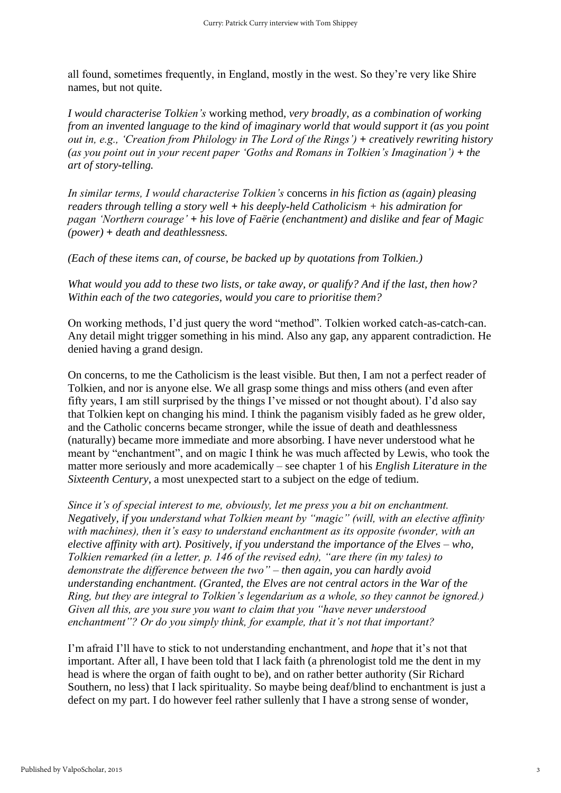all found, sometimes frequently, in England, mostly in the west. So they're very like Shire names, but not quite.

*I would characterise Tolkien's* working method*, very broadly, as a combination of working from an invented language to the kind of imaginary world that would support it (as you point out in, e.g., 'Creation from Philology in The Lord of the Rings'*) + *creatively rewriting history (as you point out in your recent paper 'Goths and Romans in Tolkien's Imagination') + the art of story-telling.* 

*In similar terms, I would characterise Tolkien's* concerns *in his fiction as (again) pleasing readers through telling a story well + his deeply-held Catholicism + his admiration for pagan 'Northern courage' + his love of Faërie (enchantment) and dislike and fear of Magic (power) + death and deathlessness.* 

*(Each of these items can, of course, be backed up by quotations from Tolkien.)*

*What would you add to these two lists, or take away, or qualify? And if the last, then how? Within each of the two categories, would you care to prioritise them?*

On working methods, I'd just query the word "method". Tolkien worked catch-as-catch-can. Any detail might trigger something in his mind. Also any gap, any apparent contradiction. He denied having a grand design.

On concerns, to me the Catholicism is the least visible. But then, I am not a perfect reader of Tolkien, and nor is anyone else. We all grasp some things and miss others (and even after fifty years, I am still surprised by the things I've missed or not thought about). I'd also say that Tolkien kept on changing his mind. I think the paganism visibly faded as he grew older, and the Catholic concerns became stronger, while the issue of death and deathlessness (naturally) became more immediate and more absorbing. I have never understood what he meant by "enchantment", and on magic I think he was much affected by Lewis, who took the matter more seriously and more academically – see chapter 1 of his *English Literature in the Sixteenth Century*, a most unexpected start to a subject on the edge of tedium.

*Since it's of special interest to me, obviously, let me press you a bit on enchantment. Negatively, if you understand what Tolkien meant by "magic" (will, with an elective affinity with machines), then it's easy to understand enchantment as its opposite (wonder, with an elective affinity with art). Positively, if you understand the importance of the Elves – who, Tolkien remarked (in a letter, p. 146 of the revised edn), "are there (in my tales) to demonstrate the difference between the two" – then again, you can hardly avoid understanding enchantment. (Granted, the Elves are not central actors in the War of the Ring, but they are integral to Tolkien's legendarium as a whole, so they cannot be ignored.) Given all this, are you sure you want to claim that you "have never understood enchantment"? Or do you simply think, for example, that it's not that important?* 

I'm afraid I'll have to stick to not understanding enchantment, and *hope* that it's not that important. After all, I have been told that I lack faith (a phrenologist told me the dent in my head is where the organ of faith ought to be), and on rather better authority (Sir Richard Southern, no less) that I lack spirituality. So maybe being deaf/blind to enchantment is just a defect on my part. I do however feel rather sullenly that I have a strong sense of wonder,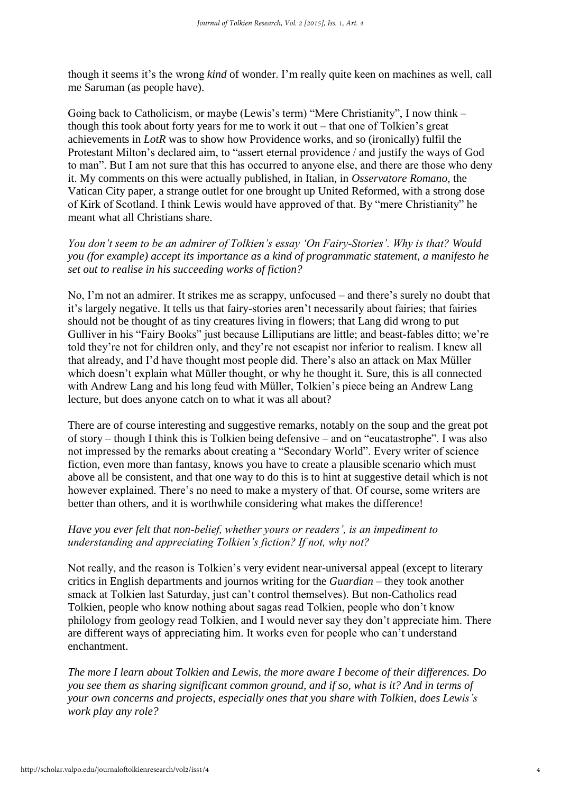though it seems it's the wrong *kind* of wonder. I'm really quite keen on machines as well, call me Saruman (as people have).

Going back to Catholicism, or maybe (Lewis's term) "Mere Christianity", I now think – though this took about forty years for me to work it out – that one of Tolkien's great achievements in *LotR* was to show how Providence works, and so (ironically) fulfil the Protestant Milton's declared aim, to "assert eternal providence / and justify the ways of God to man". But I am not sure that this has occurred to anyone else, and there are those who deny it. My comments on this were actually published, in Italian, in *Osservatore Romano*, the Vatican City paper, a strange outlet for one brought up United Reformed, with a strong dose of Kirk of Scotland. I think Lewis would have approved of that. By "mere Christianity" he meant what all Christians share.

*You don't seem to be an admirer of Tolkien's essay 'On Fairy-Stories'. Why is that? Would you (for example) accept its importance as a kind of programmatic statement, a manifesto he set out to realise in his succeeding works of fiction?*

No, I'm not an admirer. It strikes me as scrappy, unfocused – and there's surely no doubt that it's largely negative. It tells us that fairy-stories aren't necessarily about fairies; that fairies should not be thought of as tiny creatures living in flowers; that Lang did wrong to put Gulliver in his "Fairy Books" just because Lilliputians are little; and beast-fables ditto; we're told they're not for children only, and they're not escapist nor inferior to realism. I knew all that already, and I'd have thought most people did. There's also an attack on Max Müller which doesn't explain what Müller thought, or why he thought it. Sure, this is all connected with Andrew Lang and his long feud with Müller, Tolkien's piece being an Andrew Lang lecture, but does anyone catch on to what it was all about?

There are of course interesting and suggestive remarks, notably on the soup and the great pot of story – though I think this is Tolkien being defensive – and on "eucatastrophe". I was also not impressed by the remarks about creating a "Secondary World". Every writer of science fiction, even more than fantasy, knows you have to create a plausible scenario which must above all be consistent, and that one way to do this is to hint at suggestive detail which is not however explained. There's no need to make a mystery of that. Of course, some writers are better than others, and it is worthwhile considering what makes the difference!

## *Have you ever felt that non-belief, whether yours or readers', is an impediment to understanding and appreciating Tolkien's fiction? If not, why not?*

Not really, and the reason is Tolkien's very evident near-universal appeal (except to literary critics in English departments and journos writing for the *Guardian* – they took another smack at Tolkien last Saturday, just can't control themselves). But non-Catholics read Tolkien, people who know nothing about sagas read Tolkien, people who don't know philology from geology read Tolkien, and I would never say they don't appreciate him. There are different ways of appreciating him. It works even for people who can't understand enchantment.

*The more I learn about Tolkien and Lewis, the more aware I become of their differences. Do you see them as sharing significant common ground, and if so, what is it? And in terms of your own concerns and projects, especially ones that you share with Tolkien, does Lewis's work play any role?*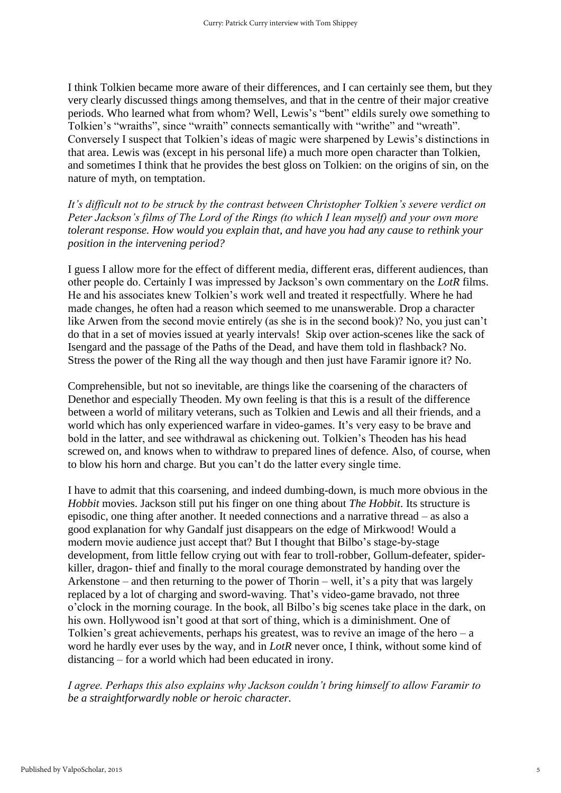I think Tolkien became more aware of their differences, and I can certainly see them, but they very clearly discussed things among themselves, and that in the centre of their major creative periods. Who learned what from whom? Well, Lewis's "bent" eldils surely owe something to Tolkien's "wraiths", since "wraith" connects semantically with "writhe" and "wreath". Conversely I suspect that Tolkien's ideas of magic were sharpened by Lewis's distinctions in that area. Lewis was (except in his personal life) a much more open character than Tolkien, and sometimes I think that he provides the best gloss on Tolkien: on the origins of sin, on the nature of myth, on temptation.

*It's difficult not to be struck by the contrast between Christopher Tolkien's severe verdict on Peter Jackson's films of The Lord of the Rings (to which I lean myself) and your own more tolerant response. How would you explain that, and have you had any cause to rethink your position in the intervening period?*

I guess I allow more for the effect of different media, different eras, different audiences, than other people do. Certainly I was impressed by Jackson's own commentary on the *LotR* films. He and his associates knew Tolkien's work well and treated it respectfully. Where he had made changes, he often had a reason which seemed to me unanswerable. Drop a character like Arwen from the second movie entirely (as she is in the second book)? No, you just can't do that in a set of movies issued at yearly intervals! Skip over action-scenes like the sack of Isengard and the passage of the Paths of the Dead, and have them told in flashback? No. Stress the power of the Ring all the way though and then just have Faramir ignore it? No.

Comprehensible, but not so inevitable, are things like the coarsening of the characters of Denethor and especially Theoden. My own feeling is that this is a result of the difference between a world of military veterans, such as Tolkien and Lewis and all their friends, and a world which has only experienced warfare in video-games. It's very easy to be brave and bold in the latter, and see withdrawal as chickening out. Tolkien's Theoden has his head screwed on, and knows when to withdraw to prepared lines of defence. Also, of course, when to blow his horn and charge. But you can't do the latter every single time.

I have to admit that this coarsening, and indeed dumbing-down, is much more obvious in the *Hobbit* movies. Jackson still put his finger on one thing about *The Hobbit*. Its structure is episodic, one thing after another. It needed connections and a narrative thread – as also a good explanation for why Gandalf just disappears on the edge of Mirkwood! Would a modern movie audience just accept that? But I thought that Bilbo's stage-by-stage development, from little fellow crying out with fear to troll-robber, Gollum-defeater, spiderkiller, dragon- thief and finally to the moral courage demonstrated by handing over the Arkenstone – and then returning to the power of Thorin – well, it's a pity that was largely replaced by a lot of charging and sword-waving. That's video-game bravado, not three o'clock in the morning courage. In the book, all Bilbo's big scenes take place in the dark, on his own. Hollywood isn't good at that sort of thing, which is a diminishment. One of Tolkien's great achievements, perhaps his greatest, was to revive an image of the hero  $-a$ word he hardly ever uses by the way, and in *LotR* never once, I think, without some kind of distancing – for a world which had been educated in irony.

*I agree. Perhaps this also explains why Jackson couldn't bring himself to allow Faramir to be a straightforwardly noble or heroic character.*